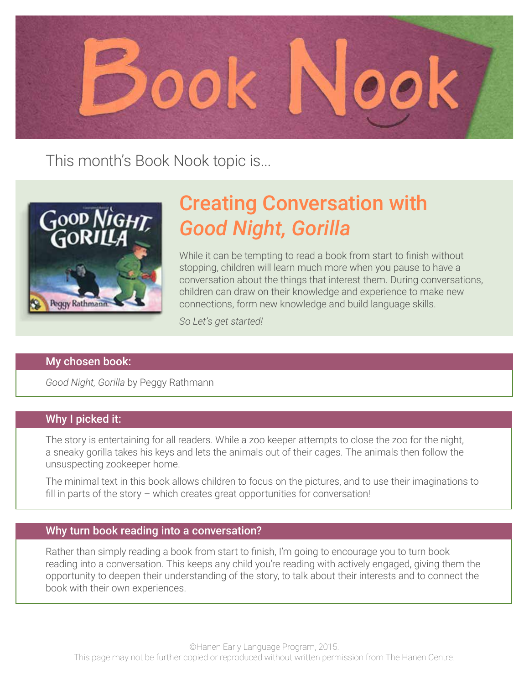

This month's Book Nook topic is...



# Creating Conversation with *Good Night, Gorilla*

While it can be tempting to read a book from start to finish without stopping, children will learn much more when you pause to have a conversation about the things that interest them. During conversations, children can draw on their knowledge and experience to make new connections, form new knowledge and build language skills.

*So Let's get started!*

#### My chosen book:

*Good Night, Gorilla* by Peggy Rathmann

#### Why I picked it:

The story is entertaining for all readers. While a zoo keeper attempts to close the zoo for the night, a sneaky gorilla takes his keys and lets the animals out of their cages. The animals then follow the unsuspecting zookeeper home.

The minimal text in this book allows children to focus on the pictures, and to use their imaginations to fill in parts of the story – which creates great opportunities for conversation!

#### Why turn book reading into a conversation?

Rather than simply reading a book from start to finish, I'm going to encourage you to turn book reading into a conversation. This keeps any child you're reading with actively engaged, giving them the opportunity to deepen their understanding of the story, to talk about their interests and to connect the book with their own experiences.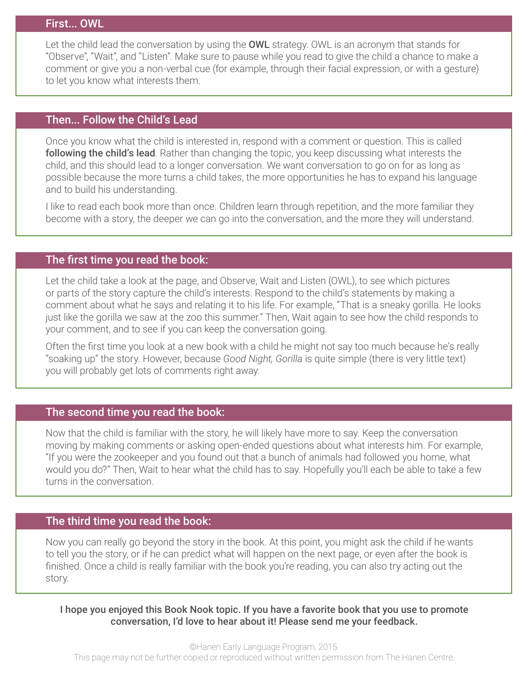#### First... OWL

Let the child lead the conversation by using the **OWL** strategy. OWL is an acronym that stands for "Observe", "Wait", and "Listen". Make sure to pause while you read to give the child a chance to make a comment or give you a non-verbal cue (for example, through their facial expression, or with a gesture) to let you know what interests them.

#### Then... Follow the Child's Lead

Once you know what the child is interested in, respond with a comment or question. This is called following the child's lead. Rather than changing the topic, you keep discussing what interests the child, and this should lead to a longer conversation. We want conversation to go on for as long as possible because the more turns a child takes, the more opportunities he has to expand his language and to build his understanding.

I like to read each book more than once. Children learn through repetition, and the more familiar they become with a story, the deeper we can go into the conversation, and the more they will understand.

#### The first time you read the book:

Let the child take a look at the page, and Observe, Wait and Listen (OWL), to see which pictures or parts of the story capture the child's interests. Respond to the child's statements by making a comment about what he says and relating it to his life. For example, "That is a sneaky gorilla. He looks just like the gorilla we saw at the zoo this summer." Then, Wait again to see how the child responds to your comment, and to see if you can keep the conversation going.

Often the first time you look at a new book with a child he might not say too much because he's really "soaking up" the story. However, because *Good Night, Gorilla* is quite simple (there is very little text) you will probably get lots of comments right away.

## The second time you read the book:

Now that the child is familiar with the story, he will likely have more to say. Keep the conversation moving by making comments or asking open-ended questions about what interests him. For example, "If you were the zookeeper and you found out that a bunch of animals had followed you home, what would you do?" Then, Wait to hear what the child has to say. Hopefully you'll each be able to take a few turns in the conversation.

## The third time you read the book:

Now you can really go beyond the story in the book. At this point, you might ask the child if he wants to tell you the story, or if he can predict what will happen on the next page, or even after the book is finished. Once a child is really familiar with the book you're reading, you can also try acting out the story.

I hope you enjoyed this Book Nook topic. If you have a favorite book that you use to promote conversation, I'd love to hear about it! Please send me your feedback.